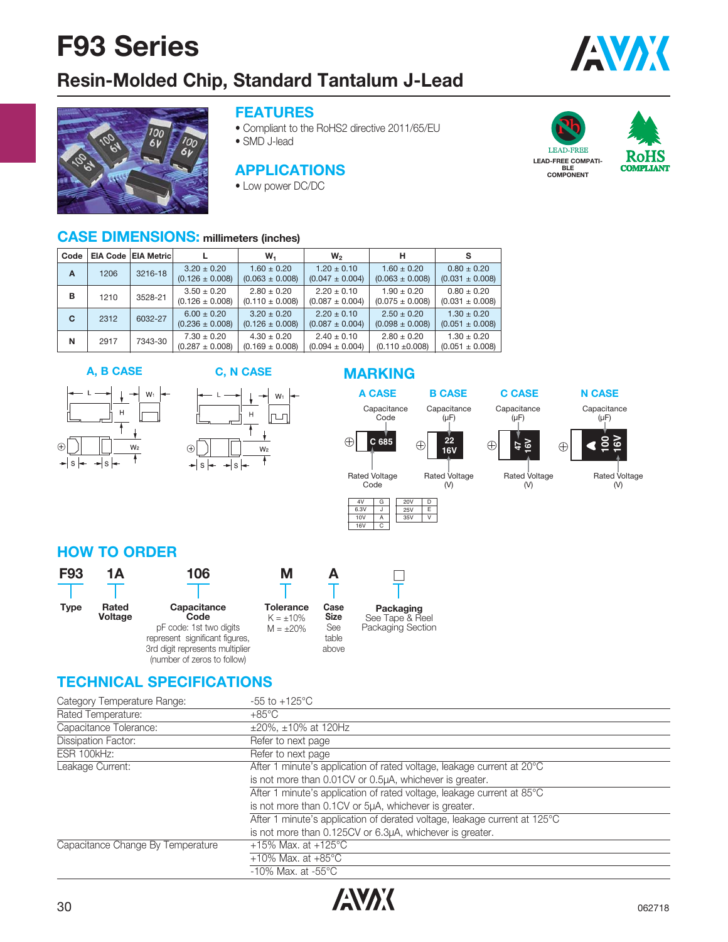## **Resin-Molded Chip, Standard Tantalum J-Lead**



### **FEATURES**

- Compliant to the RoHS2 directive 2011/65/EU
- SMD J-lead

### **APPLICATIONS**

• Low power DC/DC



**LEAD-FREE COMPATI-BLE COMPONENT**



AVAX

### **CASE DIMENSIONS: millimeters (inches)**

| Code |      | EIA Code   EIA Metric |                                        | W,                                     | W <sub>2</sub>                         | н                                      |                                        |  |
|------|------|-----------------------|----------------------------------------|----------------------------------------|----------------------------------------|----------------------------------------|----------------------------------------|--|
| A    | 1206 | 3216-18               | $3.20 \pm 0.20$<br>$(0.126 \pm 0.008)$ | $1.60 \pm 0.20$<br>$(0.063 \pm 0.008)$ | $1.20 \pm 0.10$<br>$(0.047 \pm 0.004)$ | $1.60 \pm 0.20$<br>$(0.063 \pm 0.008)$ | $0.80 \pm 0.20$<br>$(0.031 \pm 0.008)$ |  |
| в    | 1210 | 3528-21               | $3.50 \pm 0.20$<br>$(0.126 \pm 0.008)$ | $2.80 \pm 0.20$<br>$(0.110 \pm 0.008)$ | $2.20 \pm 0.10$<br>$(0.087 \pm 0.004)$ | $1.90 \pm 0.20$<br>$(0.075 \pm 0.008)$ | $0.80 + 0.20$<br>$(0.031 \pm 0.008)$   |  |
| C    | 2312 | 6032-27               | $6.00 \pm 0.20$<br>$(0.236 \pm 0.008)$ | $3.20 \pm 0.20$<br>$(0.126 \pm 0.008)$ | $2.20 \pm 0.10$<br>$(0.087 \pm 0.004)$ | $2.50 \pm 0.20$<br>$(0.098 \pm 0.008)$ | $1.30 \pm 0.20$<br>$(0.051 \pm 0.008)$ |  |
| N    | 2917 | 7343-30               | $7.30 \pm 0.20$<br>$(0.287 \pm 0.008)$ | $4.30 \pm 0.20$<br>$(0.169 \pm 0.008)$ | $2.40 \pm 0.10$<br>$(0.094 \pm 0.004)$ | $2.80 \pm 0.20$<br>$(0.110 \pm 0.008)$ | $1.30 \pm 0.20$<br>$(0.051 \pm 0.008)$ |  |

### **A, B CASE C, N CASE**



#### $\mathsf{L}$  $W_1$  $\mathsf{H}% _{0}\left( \mathsf{H}\right)$ lrun  $\overline{1}$

 $\rightarrow$  s  $\leftarrow$ 

 $W<sub>2</sub>$ 

 $\overline{1}$ 

### **MARKING**

 $\overline{\phantom{a}}$ 

16V









#### Rated Voltage (V)

(V)



**HOW TO ORDER**

| <b>F93</b>  | 1Α               | 106                                                                                                                 | м                                                    |                                              |                                                   |
|-------------|------------------|---------------------------------------------------------------------------------------------------------------------|------------------------------------------------------|----------------------------------------------|---------------------------------------------------|
|             |                  |                                                                                                                     |                                                      |                                              |                                                   |
| <b>Type</b> | Rated<br>Voltage | Capacitance<br>Code<br>pF code: 1st two digits<br>represent significant figures,<br>3rd digit represents multiplier | <b>Tolerance</b><br>$K = \pm 10\%$<br>$M = \pm 20\%$ | Case<br><b>Size</b><br>See<br>table<br>above | Packaging<br>See Tape & Reel<br>Packaging Section |

### **TECHNICAL SPECIFICATIONS**

(number of zeros to follow)

 $\bigoplus$ 

 $s \rightarrow$ 

| Category Temperature Range:       | $-55$ to $+125^{\circ}$ C                                                 |
|-----------------------------------|---------------------------------------------------------------------------|
| Rated Temperature:                | $+85^{\circ}$ C                                                           |
| Capacitance Tolerance:            | $\pm 20\%$ , $\pm 10\%$ at 120Hz                                          |
| <b>Dissipation Factor:</b>        | Refer to next page                                                        |
| ESR 100kHz:                       | Refer to next page                                                        |
| Leakage Current:                  | After 1 minute's application of rated voltage, leakage current at 20°C    |
|                                   | is not more than 0.01CV or 0.5µA, whichever is greater.                   |
|                                   | After 1 minute's application of rated voltage, leakage current at 85°C    |
|                                   | is not more than 0.1CV or 5µA, whichever is greater.                      |
|                                   | After 1 minute's application of derated voltage, leakage current at 125°C |
|                                   | is not more than 0.125CV or 6.3µA, whichever is greater.                  |
| Capacitance Change By Temperature | +15% Max. at +125 $^{\circ}$ C                                            |
|                                   | +10% Max. at $+85^{\circ}$ C                                              |
|                                   | $-10\%$ Max, at $-55\degree$ C                                            |

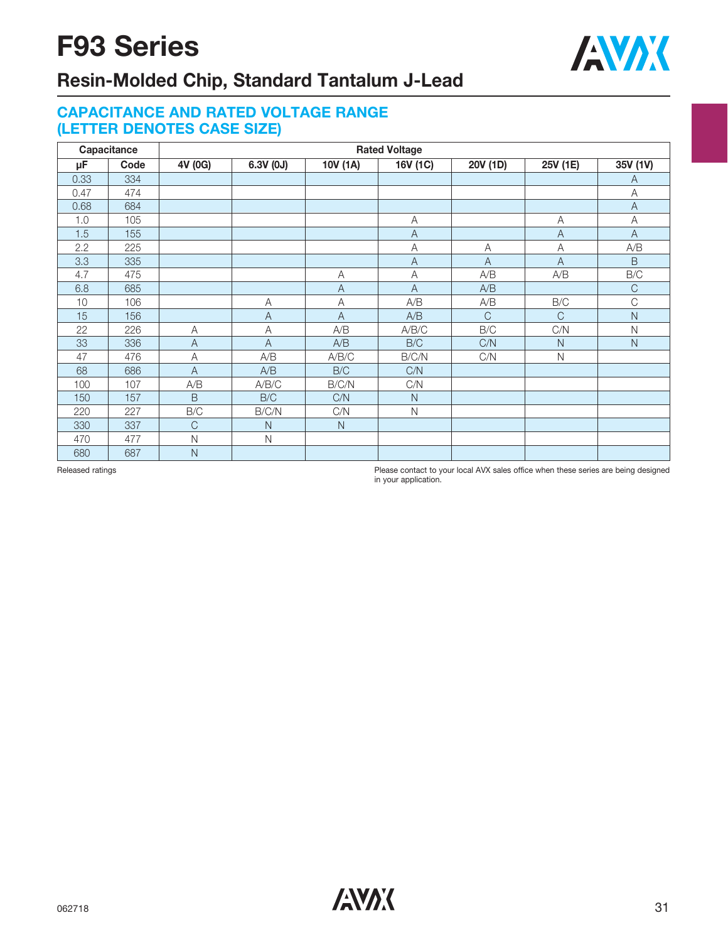

## **Resin-Molded Chip, Standard Tantalum J-Lead**

### **CAPACITANCE AND RATED VOLTAGE RANGE (LETTER DENOTES CASE SIZE)**

| Capacitance |      | <b>Rated Voltage</b> |                |                |                |                |               |                |  |  |  |  |  |
|-------------|------|----------------------|----------------|----------------|----------------|----------------|---------------|----------------|--|--|--|--|--|
| μF          | Code | 4V (0G)              | 6.3V (0J)      | 10V (1A)       | 16V (1C)       | 20V (1D)       | 25V (1E)      | 35V (1V)       |  |  |  |  |  |
| 0.33        | 334  |                      |                |                |                |                |               | A              |  |  |  |  |  |
| 0.47        | 474  |                      |                |                |                |                |               | A              |  |  |  |  |  |
| 0.68        | 684  |                      |                |                |                |                |               | $\overline{A}$ |  |  |  |  |  |
| 1.0         | 105  |                      |                |                | А              |                | Α             | Α              |  |  |  |  |  |
| 1.5         | 155  |                      |                |                | $\overline{A}$ |                | A             | A              |  |  |  |  |  |
| 2.2         | 225  |                      |                |                | A              | Α              | A             | A/B            |  |  |  |  |  |
| 3.3         | 335  |                      |                |                | $\overline{A}$ | $\overline{A}$ | $\mathsf{A}$  | $\mathsf B$    |  |  |  |  |  |
| 4.7         | 475  |                      |                | A              | A              | A/B            | A/B           | $\rm{B/C}$     |  |  |  |  |  |
| 6.8         | 685  |                      |                | $\overline{A}$ | $\overline{A}$ | A/B            |               | $\mathsf C$    |  |  |  |  |  |
| 10          | 106  |                      | Α              | Α              | A/B            | A/B            | B/C           | C              |  |  |  |  |  |
| 15          | 156  |                      | $\overline{A}$ | $\overline{A}$ | A/B            | $\mathsf{C}$   | $\mathcal{C}$ | N              |  |  |  |  |  |
| 22          | 226  | A                    | A              | A/B            | A/B/C          | B/C            | C/N           | N              |  |  |  |  |  |
| 33          | 336  | $\mathsf{A}$         | $\overline{A}$ | A/B            | B/C            | C/N            | $\mathsf{N}$  | $\mathsf N$    |  |  |  |  |  |
| 47          | 476  | A                    | A/B            | A/B/C          | B/C/N          | C/N            | $\mathsf{N}$  |                |  |  |  |  |  |
| 68          | 686  | $\overline{A}$       | A/B            | B/C            | C/N            |                |               |                |  |  |  |  |  |
| 100         | 107  | A/B                  | A/B/C          | B/C/N          | C/N            |                |               |                |  |  |  |  |  |
| 150         | 157  | B                    | B/C            | C/N            | $\mathsf N$    |                |               |                |  |  |  |  |  |
| 220         | 227  | B/C                  | B/C/N          | C/N            | $\mathsf{N}$   |                |               |                |  |  |  |  |  |
| 330         | 337  | $\mathsf{C}$         | N              | $\mathsf{N}$   |                |                |               |                |  |  |  |  |  |
| 470         | 477  | $\mathsf{N}$         | $\mathsf{N}$   |                |                |                |               |                |  |  |  |  |  |
| 680         | 687  | N                    |                |                |                |                |               |                |  |  |  |  |  |

Released ratings **Please contact to your local AVX** sales office when these series are being designed in your application.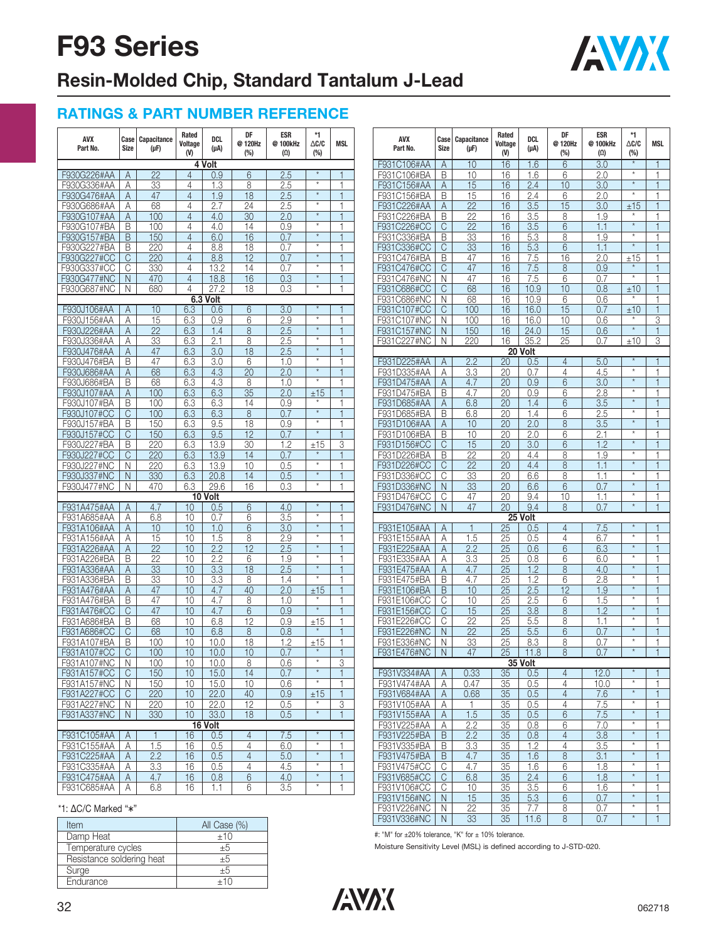

# **Resin-Molded Chip, Standard Tantalum J-Lead**

### **RATINGS & PART NUMBER REFERENCE**

| AVX<br>Part No.            | Case<br><b>Size</b> | <b>Capacitance</b><br>(µF) | Rated<br>Voltage<br>(V) | DCL<br>$(\mu A)$ | DF<br>@120Hz<br>$(\%)$ | <b>ESR</b><br>@100kHz<br>$(\Omega)$ | $*1$<br>$\Delta$ c/c<br>$(\%)$ | <b>MSL</b>   | AVX<br>Part No.            | Case <sup> </sup><br><b>Size</b> | <b>Capacitance</b><br>$(\mu F)$ | Rated<br>Voltage<br>(V) | DCL<br>$(\mu A)$ | DF<br>@120Hz<br>$(\%)$ | <b>ESR</b><br>@100kHz<br>$(\Omega)$ | $*1$<br>$\Delta C/C$<br>(%) | <b>MSL</b>                   |
|----------------------------|---------------------|----------------------------|-------------------------|------------------|------------------------|-------------------------------------|--------------------------------|--------------|----------------------------|----------------------------------|---------------------------------|-------------------------|------------------|------------------------|-------------------------------------|-----------------------------|------------------------------|
|                            |                     |                            |                         | 4 Volt           |                        |                                     |                                |              | F931C106#AA                | Α                                | 10                              | 16                      | 1.6              | 6                      | 3.0                                 | $\star$                     | $\mathbf{1}$                 |
| F930G226#AA                | A                   | 22                         | 4                       | 0.9              | 6                      | 2.5                                 | $\star$                        | 1            | F931C106#BA                | B                                | 10                              | 16                      | 1.6              | 6                      | 2.0                                 | $^\star$                    | $\mathbf{1}$                 |
| F930G336#AA                | Α                   | 33                         | 4                       | 1.3              | 8                      | 2.5                                 | $\star$                        | 1            | F931C156#AA                | Α                                | 15                              | 16                      | 2.4              | 10                     | 3.0                                 | $\star$                     | $\mathbf{1}$                 |
| F930G476#AA                | A                   | 47                         | $\overline{4}$          | 1.9              | 18                     | 2.5                                 | $\star$                        | 1            | F931C156#BA                | B                                | 15                              | 16                      | 2.4              | 6                      | 2.0                                 | $\star$                     | $\mathbf{1}$                 |
| F930G686#AA                | Α                   | 68                         | 4                       | 2.7              | 24                     | 2.5                                 | $\star$                        | 1            | F931C226#AA                | Α                                | 22                              | 16                      | 3.5              | 15                     | 3.0                                 | ±15                         | $\mathbf{1}$                 |
| F930G107#AA                | Α                   | 100                        | $\overline{4}$          | 4.0              | 30                     | 2.0                                 | $\star$<br>$\star$             | 1            | F931C226#BA                | B                                | 22                              | 16                      | 3.5              | 8                      | 1.9                                 | $\star$                     | 1.                           |
| F930G107#BA                | B                   | 100                        | 4                       | 4.0              | 14                     | 0.9                                 | $\star$                        |              | F931C226#CC                | С                                | 22                              | 16                      | 3.5              | 6                      | 1.1                                 | $\star$                     | $\mathbf{1}$                 |
| F930G157#BA                | B                   | 150                        | $\overline{4}$          | 6.0              | 16                     | 0.7                                 | $\star$                        |              | F931C336#BA                | B                                | 33                              | 16                      | 5.3              | 8                      | 1.9                                 | $\star$                     | 1.                           |
| F930G227#BA                | B                   | 220                        | 4                       | 8.8              | 18                     | 0.7                                 | $\star$                        |              | F931C336#CC                | C                                | 33                              | 16                      | 5.3              | 6                      | 1.1                                 |                             | $\mathbf{1}$                 |
| F930G227#CC                | С                   | 220                        | $\overline{4}$          | 8.8              | 12                     | 0.7                                 | $\star$                        |              | F931C476#BA                | В                                | 47                              | 16                      | 7.5              | 16                     | 2.0                                 | ±15<br>$\star$              | $\mathbf{1}$                 |
| F930G337#CC                | C                   | 330                        | 4                       | 13.2             | 14                     | 0.7                                 | $^\star$                       |              | F931C476#CC                | С                                | 47                              | 16                      | 7.5              | 8                      | 0.9                                 | $\star$                     | $\mathbf{1}$                 |
| F930G477#NC                | N.                  | 470                        | $\overline{4}$          | 18.8             | 16                     | 0.3                                 | $\star$                        |              | F931C476#NC                | N                                | 47                              | 16                      | 7.5              | 6                      | 0.7                                 |                             | $\mathbf{1}$                 |
| F930G687#NC                | N                   | 680                        | 4                       | 27.2             | 18                     | 0.3                                 |                                | 1            | F931C686#CC                | С                                | 68                              | 16                      | 10.9             | 10                     | 0.8                                 | ±10                         | $\mathbf{1}$                 |
|                            |                     |                            |                         | $6.3$ Volt       | 6                      | 3.0                                 | $\star$                        |              | F931C686#NC                | N<br>C                           | 68<br>100                       | 16<br>16                | 10.9             | 6<br>15                | 0.6<br>0.7                          |                             | $\mathbf{1}$<br>$\mathbf{1}$ |
| F930J106#AA                | A                   | 10<br>15                   | 6.3<br>6.3              | 0.6              |                        | 2.9                                 | $\star$                        | 1            | F931C107#CC                |                                  |                                 |                         | 16.0             |                        |                                     | ±10                         |                              |
| F930J156#AA                | Α                   | $\overline{22}$            | 6.3                     | 0.9              | 6                      | 2.5                                 | $\star$                        | 1            | F931C107#NC                | N                                | 100<br>150                      | 16<br>16                | 16.0             | 10                     | 0.6<br>0.6                          | $\star$                     | 3<br>$\mathbf{1}$            |
| F930J226#AA                | Α                   |                            |                         | 1.4              | 8                      |                                     | $\star$                        |              | F931C157#NC<br>F931C227#NC | N                                |                                 | 16                      | 24.0             | 15                     |                                     | ±10                         |                              |
| F930J336#AA<br>F930J476#AA | Α                   | 33<br>47                   | 6.3<br>6.3              | 2.1<br>3.0       | 8<br>18                | 2.5<br>2.5                          | $\star$                        |              |                            | N                                | 220                             |                         | 35.2<br>20 Volt  | 25                     | 0.7                                 |                             | 3                            |
| F930J476#BA                | Α<br>Β              | 47                         | 6.3                     | 3.0              | 6                      | 1.0                                 | $\star$                        |              | F931D225#AA                | A                                | 2.2                             | 20                      | 0.5              | $\overline{4}$         | 5.0                                 |                             | $\mathbf{1}$                 |
| F930J686#AA                | Α                   | 68                         | 6.3                     | 4.3              | 20                     | 2.0                                 | $\star$                        |              | F931D335#AA                | Α                                | 3.3                             | 20                      | 0.7              | 4                      | 4.5                                 | $\star$                     | $\mathbf{1}$                 |
| F930J686#BA                | B                   | 68                         | 6.3                     | 4.3              | 8                      | 1.0                                 | $\star$                        |              | F931D475#AA                | Α                                | 4.7                             | 20                      | 0.9              | 6                      | 3.0                                 | $\star$                     | $\mathbf{1}$                 |
| F930J107#AA                | Α                   | 100                        | 6.3                     | 6.3              | 35                     | 2.0                                 | ±15                            |              | F931D475#BA                | B                                | 4.7                             | 20                      | 0.9              | 6                      | 2.8                                 | $\star$                     | $\mathbf{1}$                 |
| F930J107#BA                | B                   | 100                        | 6.3                     | 6.3              | 14                     | 0.9                                 | $\star$                        | 1            | F931D685#AA                | Α                                | 6.8                             | 20                      | 1.4              | 6                      | 3.5                                 | $\star$                     | $\mathbf{1}$                 |
| F930J107#CC                | C                   | 100                        | 6.3                     | 6.3              | 8                      | 0.7                                 | $\star$                        | 1            | F931D685#BA                | B                                | 6.8                             | 20                      | 1.4              | 6                      | 2.5                                 | $\star$                     | 1                            |
| F930J157#BA                | B                   | 150                        | 6.3                     | 9.5              | 18                     | 0.9                                 | $\star$                        | 1            | F931D106#AA                | A                                | 10                              | 20                      | 2.0              | 8                      | 3.5                                 | $\star$                     | $\mathbf{1}$                 |
| F930J157#CC                | С                   | 150                        | 6.3                     | 9.5              | 12                     | 0.7                                 | $\star$                        | 1            | F931D106#BA                | B                                | 10                              | 20                      | 2.0              | 6                      | 2.1                                 | $\star$                     | 1                            |
| F930J227#BA                | B                   | 220                        | 6.3                     | 13.9             | 30                     | 1.2                                 | ±15                            | 3            | F931D156#CC                | С                                | 15                              | 20                      | 3.0              | 6                      | 1.2                                 | $\star$                     | $\mathbf{1}$                 |
| F930J227#CC                | С                   | 220                        | 6.3                     | 13.9             | 14                     | 0.7                                 |                                | 1            | F931D226#BA                | Β                                | 22                              | 20                      | 4.4              | 8                      | 1.9                                 | $^\star$                    | $\mathbf{1}$                 |
| F930J227#NC                | N                   | 220                        | 6.3                     | 13.9             | 10                     | 0.5                                 | $\star$                        |              | F931D226#CC                | С                                | 22                              | 20                      | 4.4              | 8                      | 1.1                                 | $\star$                     | $\mathbf{1}$                 |
| F930J337#NC                | N                   | 330                        | 6.3                     | 20.8             | 14                     | 0.5                                 | $\star$                        |              | F931D336#CC                | С                                | 33                              | 20                      | 6.6              | 8                      | 1.1                                 | $\star$                     | $\mathbf{1}$                 |
| F930J477#NC                | N                   | 470                        | 6.3                     | 29.6             | 16                     | 0.3                                 | $\star$                        |              | F931D336#NC                | Ν                                | 33                              | 20                      | 6.6              | 6                      | 0.7                                 | $\star$                     | $\mathbf{1}$                 |
|                            |                     |                            |                         | 10 Volt          |                        |                                     |                                |              | F931D476#CC                | C                                | 47                              | 20                      | 9.4              | 10                     | 1.1                                 | $\star$                     | $\mathbf{1}$                 |
| F931A475#AA                | Α                   | 4.7                        | 10                      | 0.5              | 6                      | 4.0                                 |                                |              | F931D476#NC                | N                                | 47                              | 20                      | 9.4              | 8                      | 0.7                                 | $\star$                     | $\mathbf{1}$                 |
| F931A685#AA                | A                   | 6.8                        | 10                      | 0.7              | 6                      | 3.5                                 | $\star$                        | $\mathbf{1}$ |                            |                                  |                                 |                         | 25 Volt          |                        |                                     |                             |                              |
| F931A106#AA                | Α                   | 10                         | 10                      | 1.0              | 6                      | 3.0                                 | $\star$                        | 1            | F931E105#AA                | A                                | 1                               | 25                      | 0.5              | $\overline{4}$         | 7.5                                 |                             | 1                            |
| F931A156#AA                | Α                   | 15                         | 10                      | 1.5              | 8                      | 2.9                                 | $\star$                        | 1            | F931E155#AA                | Α                                | 1.5                             | 25                      | 0.5              | $\overline{4}$         | 6.7                                 | $\star$                     | $\mathbf{1}$                 |
| F931A226#AA                | Α                   | 22                         | 10                      | 2.2              | 12                     | 2.5                                 | $\star$                        |              | F931E225#AA                | Α                                | 2.2                             | 25                      | 0.6              | 6                      | 6.3                                 | $\star$                     | $\mathbf{1}$                 |
| F931A226#BA                | Β                   | 22                         | 10                      | 2.2              | 6                      | 1.9                                 | $\star$                        | 1            | F931E335#AA                | Α                                | 3.3                             | 25                      | 0.8              | 6                      | 6.0                                 | $\star$                     | 1.                           |
| F931A336#AA                | Α                   | 33                         | 10                      | 3.3              | 18                     | 2.5                                 | $\star$                        | 1            | F931E475#AA                | Α                                | 4.7                             | 25                      | 1.2              | 8                      | 4.0                                 | $\star$                     | $\mathbf{1}$                 |
| F931A336#BA                | B                   | 33                         | 10                      | 3.3              | 8                      | 1.4                                 | $\star$                        | 1            | F931E475#BA                | B                                | 4.7                             | 25                      | 1.2              | 6                      | 2.8                                 | $^\star$                    | $\mathbf{1}$                 |
| F931A476#AA                | Α                   | 47                         | 10                      | 4.7              | 40                     | 2.0                                 | ±15                            |              | F931E106#BA                | B                                | 10                              | 25                      | 2.5              | 12                     | 1.9                                 | $^\star$                    | $\mathbf{1}$                 |
| F931A476#BA                | B                   | 47                         | 10                      | 4.7              | 8                      | 1.0                                 |                                |              | F931E106#CC                | C                                | 10                              | 25                      | 2.5              | 6                      | 1.5                                 | $\star$                     | $\mathbf{1}$                 |
| F931A476#CC                | С                   | 47                         | 10                      | 4.7              | 6                      | 0.9                                 | $\star$                        |              | F931E156#CC                | C                                | 15                              | 25                      | 3.8              | 8                      | 1.2                                 | $\star$                     | $\mathbf{1}$                 |
| F931A686#BA                | B                   | 68                         | 10                      | 6.8              | 12                     | 0.9                                 | ±15                            |              | F931E226#CC                | С                                | 22                              | 25                      | 5.5              | 8                      | 1.1                                 | $^\star$                    | 1                            |
| F931A686#CC                | С                   | 68                         | 10                      | 6.8              | 8                      | 0.8                                 | $\star$                        | 1            | F931E226#NC                | N                                | 22                              | 25                      | 5.5              | 6                      | 0.7                                 | $\star$                     | $\mathbf{1}$                 |
| F931A107#BA                | B                   | 100                        | 10                      | 10.0             | 18                     | 1.2                                 | ±15                            | 1            | F931E336#NC                | N                                | 33                              | 25                      | 8.3              | 8                      | 0.7                                 | $\star$                     | $\mathbf{1}$                 |
| F931A107#CC                | C                   | 100                        | 10                      | 10.0             | 10                     | 0.7                                 |                                |              | F931E476#NC                | N                                | 47                              | 25                      | 11.8             | 8                      | 0.7                                 | $\star$                     | $\mathbf{1}$                 |
| F931A107#NC                | <sup>N</sup>        | 100                        | 10                      | 10.0             | 8                      | 0.6                                 |                                | 3            |                            |                                  |                                 |                         | 35 Volt          |                        |                                     |                             |                              |
| F931A157#CC                | C                   | 150                        | 10                      | 15.0             | 14                     | 0.7                                 | $^\star$                       | 1            | F931V334#AA                | A                                | 0.33                            | 35                      | 0.5              | $\overline{4}$         | 12.0                                |                             | $\mathbf{1}$                 |
| F931A157#NC                | N                   | 150                        | 10                      | 15.0             | 10                     | 0.6                                 | $\star$                        | 1            | F931V474#AA                | Α                                | 0.47                            | 35                      | 0.5              | $\overline{4}$         | 10.0                                | $\star$                     | $\mathbf{1}$                 |
| F931A227#CC                | C                   | 220                        | 10                      | 22.0             | 40                     | 0.9                                 | ±15                            | 1            | F931V684#AA                | A                                | 0.68                            | 35                      | 0.5              | $\overline{4}$         | 7.6                                 | $\star$                     | $\mathbf{1}$                 |
| F931A227#NC                | N                   | 220                        | 10                      | 22.0             | 12                     | 0.5                                 |                                | 3            | F931V105#AA                | Α                                | 1                               | 35                      | 0.5              | $\overline{4}$         | 7.5                                 | $\star$                     | $\mathbf{1}$                 |
| F931A337#NC                | N.                  | 330                        | 10 <sup>°</sup>         | 33.0             | 18                     | 0.5                                 | $^\star$                       |              | F931V155#AA                | Α                                | 1.5                             | 35                      | 0.5              | $6\phantom{.}6$        | 7.5                                 | $^\star$                    | $\mathbf{1}$                 |
|                            |                     |                            |                         | 16 Volt          |                        |                                     |                                |              | F931V225#AA                | A                                | 2.2                             | 35                      | 0.8              | 6                      | 7.0                                 | $\star$                     | $\mathbf{1}$                 |
| F931C105#AA                | A                   | 1                          | 16                      | 0.5              | $\overline{4}$         | 7.5                                 | $\star$                        |              | F931V225#BA                | B                                | 2.2                             | 35                      | 0.8              | $\overline{4}$         | 3.8                                 | $\star$                     | $\mathbf{1}$                 |
| F931C155#AA                | Α                   | 1.5                        | 16                      | 0.5              | $\overline{4}$         | 6.0                                 | $^\star$                       | $\mathbf{1}$ | F931V335#BA                | B                                | 3.3                             | 35                      | 1.2              | $\overline{4}$         | 3.5                                 | $^\star$                    | $\overline{1}$               |
| F931C225#AA                | A                   | 2.2                        | 16                      | 0.5              | $\overline{4}$         | 5.0                                 | $^\star$                       | $\mathbf{1}$ | F931V475#BA                | B                                | 4.7                             | 35                      | 1.6              | 8                      | 3.1                                 | $^\star$                    | $\mathbf{1}$                 |
| F931C335#AA                | A                   | 3.3                        | 16                      | 0.5              | 4                      | 4.5                                 | $^\star$                       | 1            | F931V475#CC                | C                                | 4.7                             | 35                      | 1.6              | 6                      | 1.8                                 | $^\star$                    | $\mathbf{1}$                 |
| F931C475#AA                | A                   | 4.7                        | 16                      | 0.8              | 6                      | 4.0                                 | $^\star$                       | 1            | F931V685#CC                | C.                               | 6.8                             | 35                      | 2.4              | $6\phantom{.}6$        | 1.8                                 | $^\star$                    | $\mathbf{1}$                 |
| F931C685#AA                | A                   | 6.8                        | 16                      | 1.1              | 6                      | 3.5                                 | $\star$                        | 1            | F931V106#CC                | C                                | 10                              | 35                      | 3.5              | 6                      | 1.6                                 | $\star$                     | $\mathbf{1}$                 |
|                            |                     |                            |                         |                  |                        |                                     |                                |              | F931V156#NC                | N.                               | 15                              | 35                      | 5.3              | 6                      | 0.7                                 | $\star$                     | $\mathbf{1}$                 |

#### \*1: ΔC/C Marked "*\**"

| Item                      | All Case (%) | F931V336#NC  <br>N<br>35<br>33<br>0.7<br>1.6                        |
|---------------------------|--------------|---------------------------------------------------------------------|
| Damp Heat                 | ±10          | #: "M" for $\pm 20\%$ tolerance, "K" for $\pm$ 10% tolerance.       |
| Temperature cycles        | ΞJ           | Moisture Sensitivity Level (MSL) is defined according to J-STD-020. |
| Resistance soldering heat | ΞO           |                                                                     |
| Surge                     | ΞO           |                                                                     |
| Endurance                 | ±10          |                                                                     |

F931V226#NC N 22 35 7.7 8 0.7<br>F931V336#NC N 33 35 11.6 8 0.7

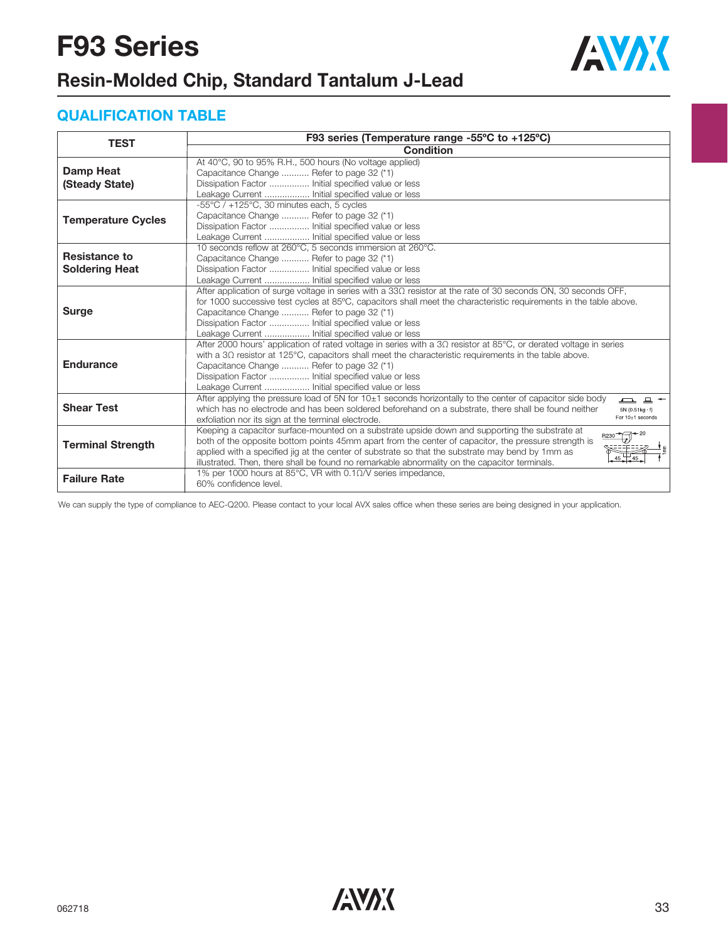

## **Resin-Molded Chip, Standard Tantalum J-Lead**

### **QUALIFICATION TABLE**

| <b>TEST</b>                                   | F93 series (Temperature range -55°C to +125°C)                                                                                                                                                                                                                                                                                                                                                                                          |
|-----------------------------------------------|-----------------------------------------------------------------------------------------------------------------------------------------------------------------------------------------------------------------------------------------------------------------------------------------------------------------------------------------------------------------------------------------------------------------------------------------|
|                                               | <b>Condition</b>                                                                                                                                                                                                                                                                                                                                                                                                                        |
| <b>Damp Heat</b><br>(Steady State)            | At 40°C, 90 to 95% R.H., 500 hours (No voltage applied)<br>Capacitance Change  Refer to page 32 (*1)<br>Dissipation Factor  Initial specified value or less<br>Leakage Current  Initial specified value or less                                                                                                                                                                                                                         |
| <b>Temperature Cycles</b>                     | $-55^{\circ}$ C / $+125^{\circ}$ C, 30 minutes each, 5 cycles<br>Capacitance Change  Refer to page 32 (*1)<br>Dissipation Factor  Initial specified value or less<br>Leakage Current  Initial specified value or less                                                                                                                                                                                                                   |
| <b>Resistance to</b><br><b>Soldering Heat</b> | 10 seconds reflow at 260°C, 5 seconds immersion at 260°C.<br>Capacitance Change  Refer to page 32 (*1)<br>Dissipation Factor  Initial specified value or less<br>Leakage Current  Initial specified value or less                                                                                                                                                                                                                       |
| <b>Surge</b>                                  | After application of surge voltage in series with a $33\Omega$ resistor at the rate of 30 seconds ON, 30 seconds OFF,<br>for 1000 successive test cycles at 85°C, capacitors shall meet the characteristic requirements in the table above.<br>Capacitance Change  Refer to page 32 (*1)<br>Dissipation Factor  Initial specified value or less<br>Leakage Current  Initial specified value or less                                     |
| <b>Endurance</b>                              | After 2000 hours' application of rated voltage in series with a 3Ω resistor at 85°C, or derated voltage in series<br>with a $3\Omega$ resistor at 125°C, capacitors shall meet the characteristic requirements in the table above.<br>Capacitance Change  Refer to page 32 (*1)<br>Dissipation Factor  Initial specified value or less<br>Leakage Current  Initial specified value or less                                              |
| <b>Shear Test</b>                             | After applying the pressure load of 5N for $10±1$ seconds horizontally to the center of capacitor side body<br><b>그</b> 므<br>which has no electrode and has been soldered beforehand on a substrate, there shall be found neither<br>$5N(0.51kg \cdot f)$<br>For 10±1 seconds<br>exfoliation nor its sign at the terminal electrode.                                                                                                    |
| <b>Terminal Strength</b>                      | Keeping a capacitor surface-mounted on a substrate upside down and supporting the substrate at<br>$B230 - 20$<br>both of the opposite bottom points 45mm apart from the center of capacitor, the pressure strength is<br>applied with a specified jig at the center of substrate so that the substrate may bend by 1mm as<br>$45 + 45$<br>illustrated. Then, there shall be found no remarkable abnormality on the capacitor terminals. |
| <b>Failure Rate</b>                           | 1% per 1000 hours at 85°C, VR with $0.1\Omega$ /V series impedance,<br>60% confidence level.                                                                                                                                                                                                                                                                                                                                            |

We can supply the type of compliance to AEC-Q200. Please contact to your local AVX sales office when these series are being designed in your application.